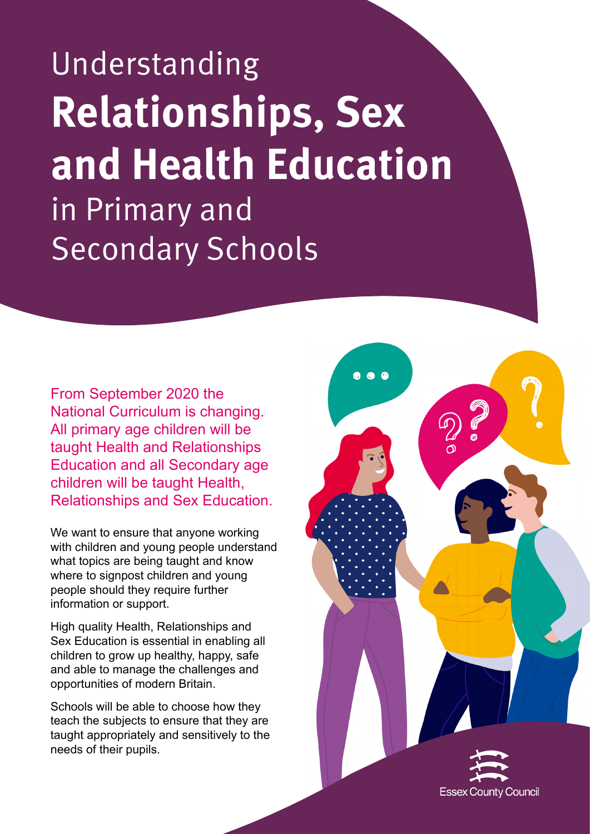Understanding **Relationships, Sex and Health Education**  in Primary and Secondary Schools

From September 2020 the National Curriculum is changing. All primary age children will be taught Health and Relationships Education and all Secondary age children will be taught Health, Relationships and Sex Education.

We want to ensure that anyone working with children and young people understand what topics are being taught and know where to signpost children and young people should they require further information or support.

High quality Health, Relationships and Sex Education is essential in enabling all children to grow up healthy, happy, safe and able to manage the challenges and opportunities of modern Britain.

Schools will be able to choose how they teach the subjects to ensure that they are taught appropriately and sensitively to the needs of their pupils.